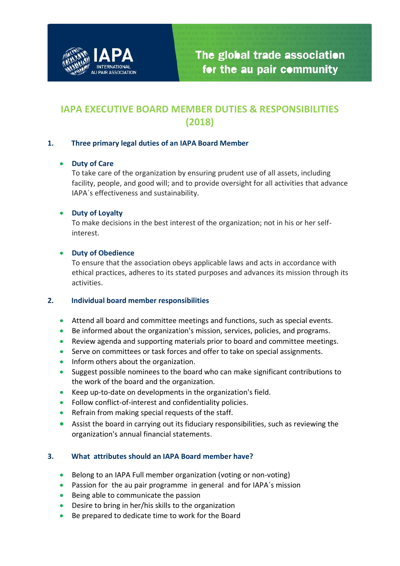

# **IAPA EXECUTIVE BOARD MEMBER DUTIES & RESPONSIBILITIES (2018)**

## **1. Three primary legal duties of an IAPA Board Member**

## • **Duty of Care**

To take care of the organization by ensuring prudent use of all assets, including facility, people, and good will; and to provide oversight for all activities that advance IAPA´s effectiveness and sustainability.

## • **Duty of Loyalty**

To make decisions in the best interest of the organization; not in his or her selfinterest.

## • **Duty of Obedience**

To ensure that the association obeys applicable laws and acts in accordance with ethical practices, adheres to its stated purposes and advances its mission through its activities.

#### **2. Individual board member responsibilities**

- Attend all board and committee meetings and functions, such as special events.
- Be informed about the organization's mission, services, policies, and programs.
- Review agenda and supporting materials prior to board and committee meetings.
- Serve on committees or task forces and offer to take on special assignments.
- Inform others about the organization.
- Suggest possible nominees to the board who can make significant contributions to the work of the board and the organization.
- Keep up-to-date on developments in the organization's field.
- Follow conflict-of-interest and confidentiality policies.
- Refrain from making special requests of the staff.
- Assist the board in carrying out its fiduciary responsibilities, such as reviewing the organization's annual financial statements.

## **3. What attributes should an IAPA Board member have?**

- Belong to an IAPA Full member organization (voting or non-voting)
- Passion for the au pair programme in general and for IAPA's mission
- Being able to communicate the passion
- Desire to bring in her/his skills to the organization
- Be prepared to dedicate time to work for the Board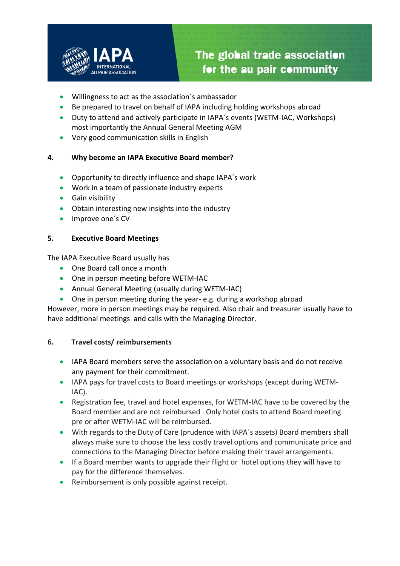

- Willingness to act as the association´s ambassador
- Be prepared to travel on behalf of IAPA including holding workshops abroad
- Duty to attend and actively participate in IAPA´s events (WETM-IAC, Workshops) most importantly the Annual General Meeting AGM
- Very good communication skills in English

## **4. Why become an IAPA Executive Board member?**

- Opportunity to directly influence and shape IAPA´s work
- Work in a team of passionate industry experts
- Gain visibility
- Obtain interesting new insights into the industry
- Improve one's CV

## **5. Executive Board Meetings**

The IAPA Executive Board usually has

- One Board call once a month
- One in person meeting before WETM-IAC
- Annual General Meeting (usually during WETM-IAC)
- One in person meeting during the year-e.g. during a workshop abroad

However, more in person meetings may be required. Also chair and treasurer usually have to have additional meetings and calls with the Managing Director.

## **6. Travel costs/ reimbursements**

- IAPA Board members serve the association on a voluntary basis and do not receive any payment for their commitment.
- IAPA pays for travel costs to Board meetings or workshops (except during WETM-IAC).
- Registration fee, travel and hotel expenses, for WETM-IAC have to be covered by the Board member and are not reimbursed . Only hotel costs to attend Board meeting pre or after WETM-IAC will be reimbursed.
- With regards to the Duty of Care (prudence with IAPA's assets) Board members shall always make sure to choose the less costly travel options and communicate price and connections to the Managing Director before making their travel arrangements.
- If a Board member wants to upgrade their flight or hotel options they will have to pay for the difference themselves.
- Reimbursement is only possible against receipt.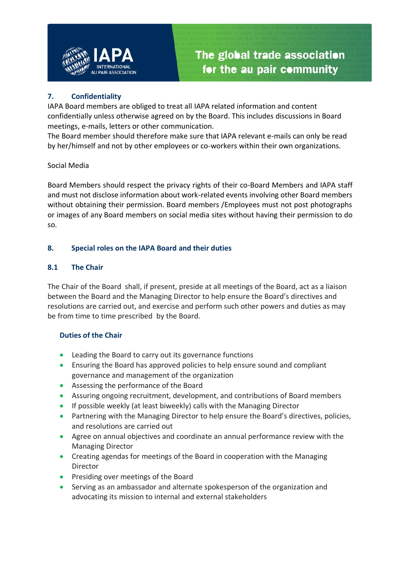

## **7. Confidentiality**

IAPA Board members are obliged to treat all IAPA related information and content confidentially unless otherwise agreed on by the Board. This includes discussions in Board meetings, e-mails, letters or other communication.

The Board member should therefore make sure that IAPA relevant e-mails can only be read by her/himself and not by other employees or co-workers within their own organizations.

## Social Media

Board Members should respect the privacy rights of their co-Board Members and IAPA staff and must not disclose information about work-related events involving other Board members without obtaining their permission. Board members /Employees must not post photographs or images of any Board members on social media sites without having their permission to do so.

## **8. Special roles on the IAPA Board and their duties**

## **8.1 The Chair**

The Chair of the Board shall, if present, preside at all meetings of the Board, act as a liaison between the Board and the Managing Director to help ensure the Board's directives and resolutions are carried out, and exercise and perform such other powers and duties as may be from time to time prescribed by the Board.

#### **Duties of the Chair**

- Leading the Board to carry out its governance functions
- Ensuring the Board has approved policies to help ensure sound and compliant governance and management of the organization
- Assessing the performance of the Board
- Assuring ongoing recruitment, development, and contributions of Board members
- If possible weekly (at least biweekly) calls with the Managing Director
- Partnering with the Managing Director to help ensure the Board's directives, policies, and resolutions are carried out
- Agree on annual objectives and coordinate an annual performance review with the Managing Director
- Creating agendas for meetings of the Board in cooperation with the Managing Director
- Presiding over meetings of the Board
- Serving as an ambassador and alternate spokesperson of the organization and advocating its mission to internal and external stakeholders